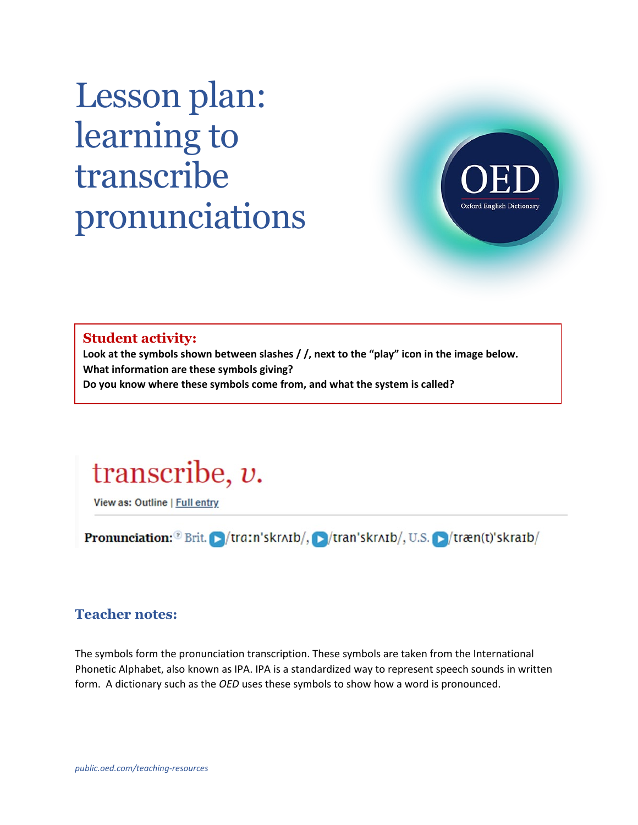# Lesson plan: learning to transcribe pronunciations



#### **Student activity:**

**Look at the symbols shown between slashes / /, next to the "play" icon in the image below. What information are these symbols giving? Do you know where these symbols come from, and what the system is called?** 



View as: Outline | Full entry

**Pronunciation:**  $\sqrt[3]{Brit.}$   $\sqrt{train'skratb/}$ ,  $\sqrt{tran'skratb/}$ , U.S.  $\sqrt{tran(t)'skratb/}$ 

### **Teacher notes:**

The symbols form the pronunciation transcription. These symbols are taken from the International Phonetic Alphabet, also known as IPA. IPA is a standardized way to represent speech sounds in written form. A dictionary such as the *OED* uses these symbols to show how a word is pronounced.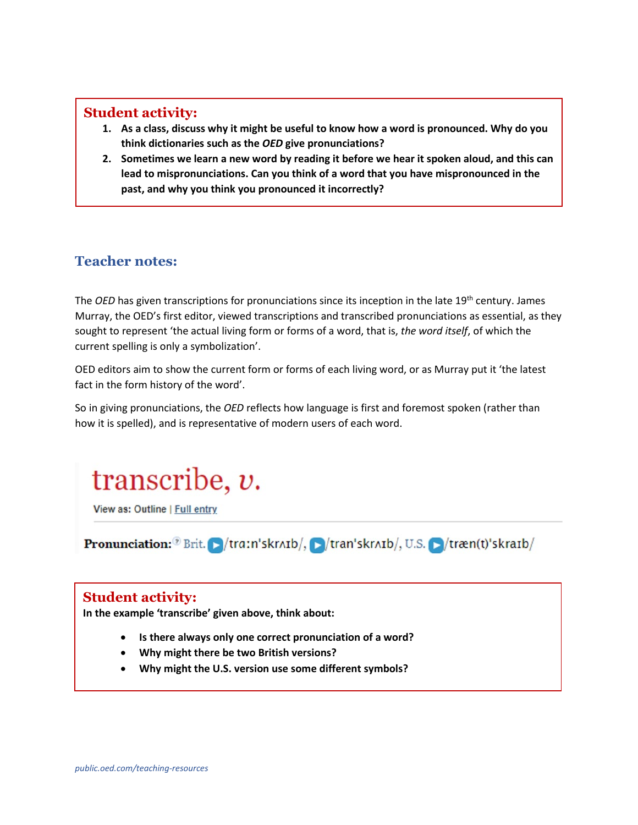#### **Student activity:**

- **1. As a class, discuss why it might be useful to know how a word is pronounced. Why do you think dictionaries such as the** *OED* **give pronunciations?**
- **2. Sometimes we learn a new word by reading it before we hear it spoken aloud, and this can lead to mispronunciations. Can you think of a word that you have mispronounced in the past, and why you think you pronounced it incorrectly?**

## **Teacher notes:**

The *OED* has given transcriptions for pronunciations since its inception in the late 19<sup>th</sup> century. James Murray, the OED's first editor, viewed transcriptions and transcribed pronunciations as essential, as they sought to represent 'the actual living form or forms of a word, that is, *the word itself*, of which the current spelling is only a symbolization'.

OED editors aim to show the current form or forms of each living word, or as Murray put it 'the latest fact in the form history of the word'.

So in giving pronunciations, the *OED* reflects how language is first and foremost spoken (rather than how it is spelled), and is representative of modern users of each word.

## transcribe,  $v$ .

View as: Outline | Full entry

**Pronunciation:**  $\sqrt[3]{Brit}$  **F** /tra:n'skrʌɪb/,  $\sqrt{B/t}$  /tran'skrʌɪb/, U.S.  $\sqrt{t}$  /træn(t)'skraɪb/

### **Student activity:**

**In the example 'transcribe' given above, think about:**

- **Is there always only one correct pronunciation of a word?**
- **Why might there be two British versions?**
- **Why might the U.S. version use some different symbols?**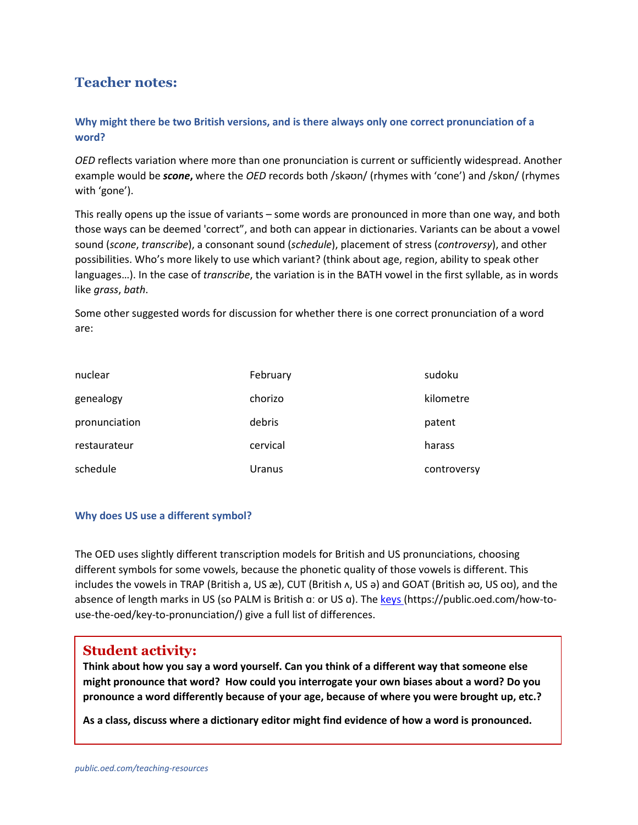## **Teacher notes:**

#### **Why might there be two British versions, and is there always only one correct pronunciation of a word?**

*OED* reflects variation where more than one pronunciation is current or sufficiently widespread. Another example would be *scone***,** where the *OED* records both /skəʊn/ (rhymes with 'cone') and /skɒn/ (rhymes with 'gone').

This really opens up the issue of variants – some words are pronounced in more than one way, and both those ways can be deemed 'correct", and both can appear in dictionaries. Variants can be about a vowel sound (*scone*, *transcribe*), a consonant sound (*schedule*), placement of stress (*controversy*), and other possibilities. Who's more likely to use which variant? (think about age, region, ability to speak other languages…). In the case of *transcribe*, the variation is in the BATH vowel in the first syllable, as in words like *grass*, *bath*.

Some other suggested words for discussion for whether there is one correct pronunciation of a word are:

| nuclear       | February | sudoku      |
|---------------|----------|-------------|
| genealogy     | chorizo  | kilometre   |
| pronunciation | debris   | patent      |
| restaurateur  | cervical | harass      |
| schedule      | Uranus   | controversy |

#### **Why does US use a different symbol?**

The OED uses slightly different transcription models for British and US pronunciations, choosing different symbols for some vowels, because the phonetic quality of those vowels is different. This includes the vowels in TRAP (British a, US æ), CUT (British ʌ, US ə) and GOAT (British əʊ, US oʊ), and the absence of length marks in US (so PALM is British a: or US a). The [keys](https://public.oed.com/how-to-use-the-oed/key-to-pronunciation/) (https://public.oed.com/how-touse-the-oed/key-to-pronunciation/) give a full list of differences.

#### **Student activity:**

**Think about how you say a word yourself. Can you think of a different way that someone else might pronounce that word? How could you interrogate your own biases about a word? Do you pronounce a word differently because of your age, because of where you were brought up, etc.?**

**As a class, discuss where a dictionary editor might find evidence of how a word is pronounced.**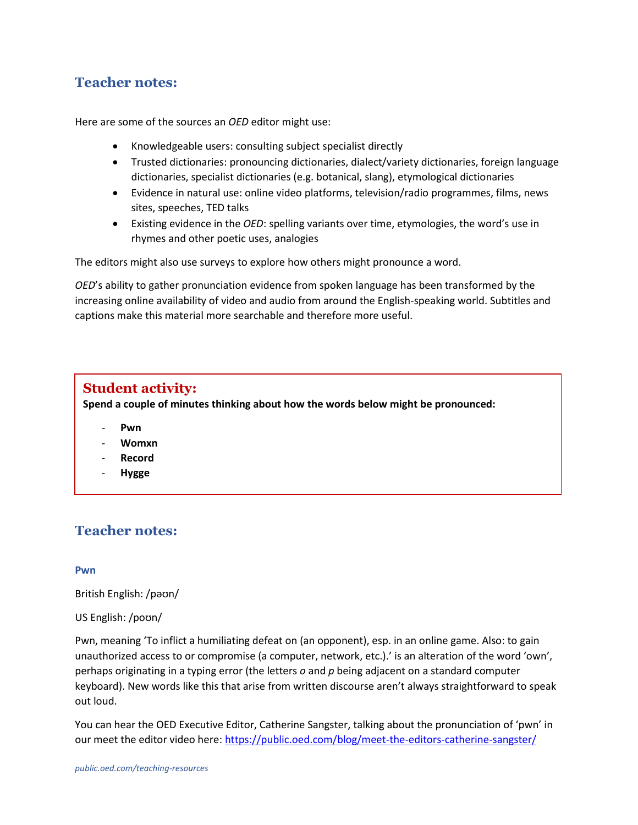## **Teacher notes:**

Here are some of the sources an *OED* editor might use:

- Knowledgeable users: consulting subject specialist directly
- Trusted dictionaries: pronouncing dictionaries, dialect/variety dictionaries, foreign language dictionaries, specialist dictionaries (e.g. botanical, slang), etymological dictionaries
- Evidence in natural use: online video platforms, television/radio programmes, films, news sites, speeches, TED talks
- Existing evidence in the *OED*: spelling variants over time, etymologies, the word's use in rhymes and other poetic uses, analogies

The editors might also use surveys to explore how others might pronounce a word.

*OED*'s ability to gather pronunciation evidence from spoken language has been transformed by the increasing online availability of video and audio from around the English-speaking world. Subtitles and captions make this material more searchable and therefore more useful.

## **Student activity:**

**Spend a couple of minutes thinking about how the words below might be pronounced:**

- **Pwn**
- **Womxn**
- **Record**
- **Hygge**

## **Teacher notes:**

#### **Pwn**

British English: /pəʊn/

US English: /poʊn/

Pwn, meaning 'To inflict a humiliating defeat on (an opponent), esp. in an online game. Also: to gain unauthorized access to or compromise (a computer, network, etc.).' is an alteration of the word 'own', perhaps originating in a typing error (the letters *o* and *p* being adjacent on a standard computer keyboard). New words like this that arise from written discourse aren't always straightforward to speak out loud.

You can hear the OED Executive Editor, Catherine Sangster, talking about the pronunciation of 'pwn' in our meet the editor video here:<https://public.oed.com/blog/meet-the-editors-catherine-sangster/>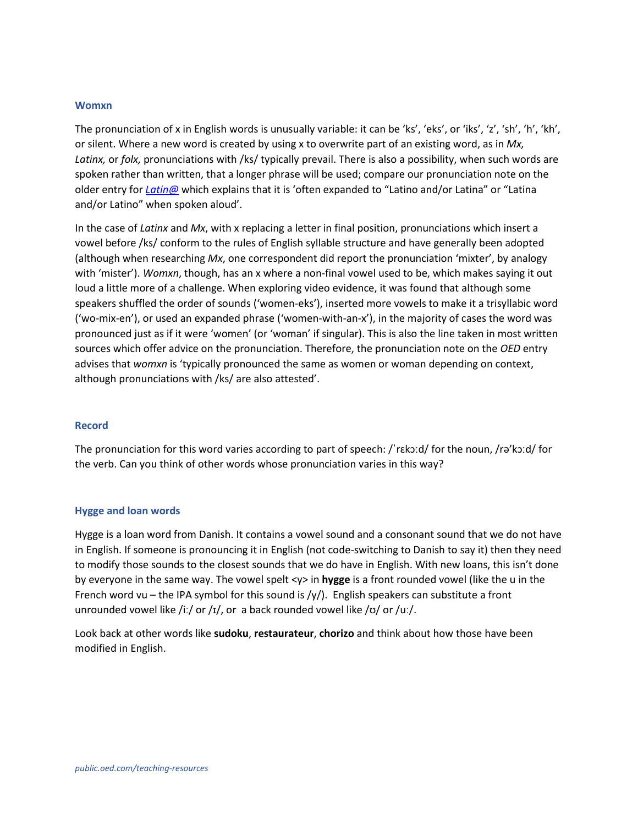#### **Womxn**

The pronunciation of x in English words is unusually variable: it can be 'ks', 'eks', or 'iks', 'z', 'sh', 'h', 'kh', or silent. Where a new word is created by using x to overwrite part of an existing word, as in *Mx, Latinx,* or *folx,* pronunciations with /ks/ typically prevail. There is also a possibility, when such words are spoken rather than written, that a longer phrase will be used; compare our pronunciation note on the older entry for *[Latin@](https://www.oed.com/view/Entry/79152371)* which explains that it is 'often expanded to "Latino and/or Latina" or "Latina and/or Latino" when spoken aloud'.

In the case of *Latinx* and *Mx*, with x replacing a letter in final position, pronunciations which insert a vowel before /ks/ conform to the rules of English syllable structure and have generally been adopted (although when researching *Mx*, one correspondent did report the pronunciation 'mixter', by analogy with 'mister'). *Womxn*, though, has an x where a non-final vowel used to be, which makes saying it out loud a little more of a challenge. When exploring video evidence, it was found that although some speakers shuffled the order of sounds ('women-eks'), inserted more vowels to make it a trisyllabic word ('wo-mix-en'), or used an expanded phrase ('women-with-an-x'), in the majority of cases the word was pronounced just as if it were 'women' (or 'woman' if singular). This is also the line taken in most written sources which offer advice on the pronunciation. Therefore, the pronunciation note on the *OED* entry advises that *womxn* is 'typically pronounced the same as women or woman depending on context, although pronunciations with /ks/ are also attested'.

#### **Record**

The pronunciation for this word varies according to part of speech: /ˈrɛkɔːd/ for the noun, /rə'kɔːd/ for the verb. Can you think of other words whose pronunciation varies in this way?

#### **Hygge and loan words**

Hygge is a loan word from Danish. It contains a vowel sound and a consonant sound that we do not have in English. If someone is pronouncing it in English (not code-switching to Danish to say it) then they need to modify those sounds to the closest sounds that we do have in English. With new loans, this isn't done by everyone in the same way. The vowel spelt <y> in **hygge** is a front rounded vowel (like the u in the French word vu – the IPA symbol for this sound is  $/y/$ ). English speakers can substitute a front unrounded vowel like /iː/ or /ɪ/, or a back rounded vowel like /ʊ/ or /uː/.

Look back at other words like **sudoku**, **restaurateur**, **chorizo** and think about how those have been modified in English.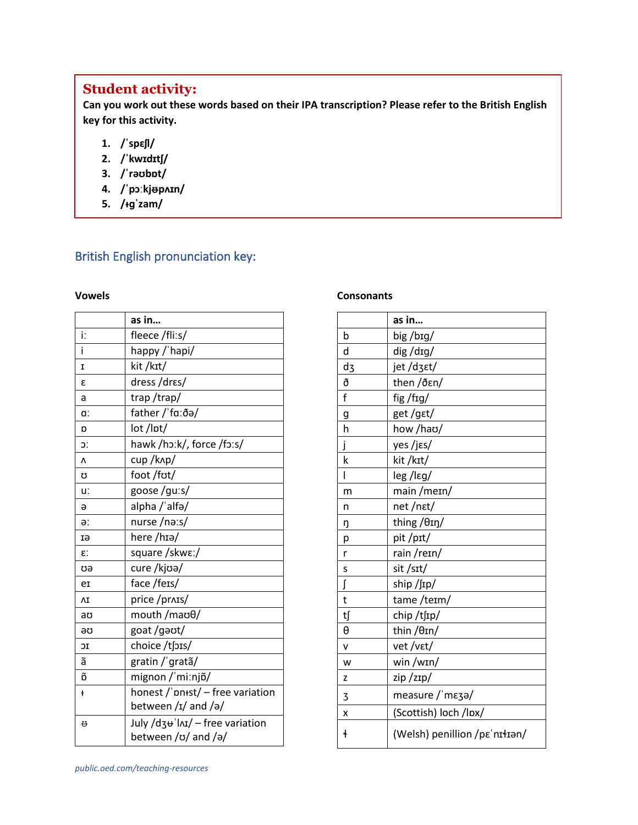## **Student activity:**

**Can you work out these words based on their IPA transcription? Please refer to the British English key for this activity.** 

- **1. /ˈspɛʃl/**
- **2. /ˈkwɪdɪtʃ/**
- **3. /ˈrəʊbɒt/**
- **4. /ˈpɔːkj**ᵿ**pʌɪn/**
- **5. /ᵻɡˈzam/**

## British English pronunciation key:

#### **Vowels**

|           | as in                                   |
|-----------|-----------------------------------------|
| i:        | fleece /fli:s/                          |
| i         | happy /'hapi/                           |
| I         | kit/kɪt/                                |
| ε         | dress /drɛs/                            |
| a         | trap/trap/                              |
| a:        | father / fa: ða/                        |
| Ŋ         | lot /lpt/                               |
| Ċ.        | hawk /hɔːk/, force /fɔːs/               |
| $\Lambda$ | cup/k^p/                                |
| Ω         | foot /fot/                              |
| u:        | goose/gu:s/                             |
| ə         | alpha /'alfə/                           |
| ə:        | nurse /naːs/                            |
| EI        | here /hɪə/                              |
| £.        | square /skwɛː/                          |
| σə        | cure /kjoa/                             |
| er        | face /fers/                             |
| ΛI        | price /pr^1s/                           |
| aʊ        | mouth /maoθ/                            |
| əσ        | goat /gaot/                             |
| IC        | choice /tʃɔɪs/                          |
| ã         | gratin / gratã/                         |
| õ         | mignon / miːnjõ/                        |
| ł         | honest / 'pn+st/ - free variation       |
|           | between $\frac{1}{4}$ and $\frac{1}{9}$ |
| ₩         | July /dz+ lnI/ - free variation         |
|           | between /v/ and /ə/                     |

#### **Consonants**

|            | as in                         |
|------------|-------------------------------|
| b          | big/big/                      |
| d          | dig/drg/                      |
| dz         | jet/dzet/                     |
| ð          | then /ðεn/                    |
| f          | fig/frg/                      |
| g          | get/gɛt/                      |
| h          | how /hao/                     |
| j          | yes /jɛs/                     |
| k          | kit /kɪt/                     |
| I          | leg/lεg/                      |
| m          | main / meɪn/                  |
| n          | net/nɛt/                      |
| ŋ          | thing /θIη/                   |
| p          | pit/prt/                      |
| r          | rain/rein/                    |
| S          | sit /sɪt/                     |
| ſ          | ship /ʃɪp/                    |
| t          | tame/teim/                    |
| t∫         | chip/tfip/                    |
| θ          | thin /θIn/                    |
| V          | vet/vɛt/                      |
| W          | win /wɪn/                     |
| Z          | zip/zɪp/                      |
| 3          | measure / mɛʒə/               |
| X          | (Scottish) loch /lpx/         |
| $\ddagger$ | (Welsh) penillion /pε'nI+Ian/ |